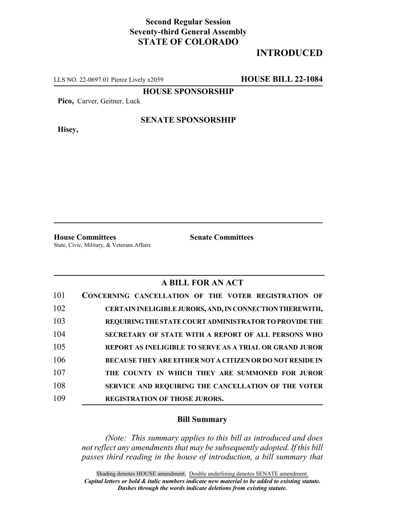## **Second Regular Session Seventy-third General Assembly STATE OF COLORADO**

# **INTRODUCED**

LLS NO. 22-0697.01 Pierce Lively x2059 **HOUSE BILL 22-1084**

**HOUSE SPONSORSHIP**

**Pico,** Carver, Geitner, Luck

**Hisey,**

#### **SENATE SPONSORSHIP**

**House Committees Senate Committees** State, Civic, Military, & Veterans Affairs

### **A BILL FOR AN ACT**

| 101 | CONCERNING CANCELLATION OF THE VOTER REGISTRATION OF             |
|-----|------------------------------------------------------------------|
| 102 | CERTAIN INELIGIBLE JURORS, AND, IN CONNECTION THEREWITH,         |
| 103 | REQUIRING THE STATE COURT ADMINISTRATOR TO PROVIDE THE           |
| 104 | SECRETARY OF STATE WITH A REPORT OF ALL PERSONS WHO              |
| 105 | REPORT AS INELIGIBLE TO SERVE AS A TRIAL OR GRAND JUROR          |
| 106 | <b>BECAUSE THEY ARE EITHER NOT A CITIZEN OR DO NOT RESIDE IN</b> |
| 107 | THE COUNTY IN WHICH THEY ARE SUMMONED FOR JUROR                  |
| 108 | SERVICE AND REQUIRING THE CANCELLATION OF THE VOTER              |
| 109 | <b>REGISTRATION OF THOSE JURORS.</b>                             |

### **Bill Summary**

*(Note: This summary applies to this bill as introduced and does not reflect any amendments that may be subsequently adopted. If this bill passes third reading in the house of introduction, a bill summary that*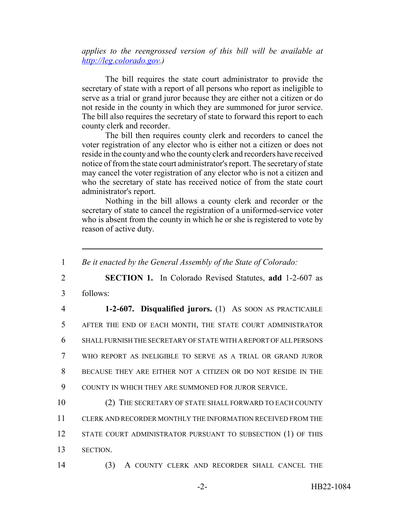*applies to the reengrossed version of this bill will be available at http://leg.colorado.gov.)*

The bill requires the state court administrator to provide the secretary of state with a report of all persons who report as ineligible to serve as a trial or grand juror because they are either not a citizen or do not reside in the county in which they are summoned for juror service. The bill also requires the secretary of state to forward this report to each county clerk and recorder.

The bill then requires county clerk and recorders to cancel the voter registration of any elector who is either not a citizen or does not reside in the county and who the county clerk and recorders have received notice of from the state court administrator's report. The secretary of state may cancel the voter registration of any elector who is not a citizen and who the secretary of state has received notice of from the state court administrator's report.

Nothing in the bill allows a county clerk and recorder or the secretary of state to cancel the registration of a uniformed-service voter who is absent from the county in which he or she is registered to vote by reason of active duty.

 *Be it enacted by the General Assembly of the State of Colorado:* **SECTION 1.** In Colorado Revised Statutes, **add** 1-2-607 as 3 follows: **1-2-607. Disqualified jurors.** (1) AS SOON AS PRACTICABLE AFTER THE END OF EACH MONTH, THE STATE COURT ADMINISTRATOR SHALL FURNISH THE SECRETARY OF STATE WITH A REPORT OF ALL PERSONS WHO REPORT AS INELIGIBLE TO SERVE AS A TRIAL OR GRAND JUROR BECAUSE THEY ARE EITHER NOT A CITIZEN OR DO NOT RESIDE IN THE COUNTY IN WHICH THEY ARE SUMMONED FOR JUROR SERVICE. 10 (2) THE SECRETARY OF STATE SHALL FORWARD TO EACH COUNTY CLERK AND RECORDER MONTHLY THE INFORMATION RECEIVED FROM THE 12 STATE COURT ADMINISTRATOR PURSUANT TO SUBSECTION (1) OF THIS 13 SECTION. (3) A COUNTY CLERK AND RECORDER SHALL CANCEL THE